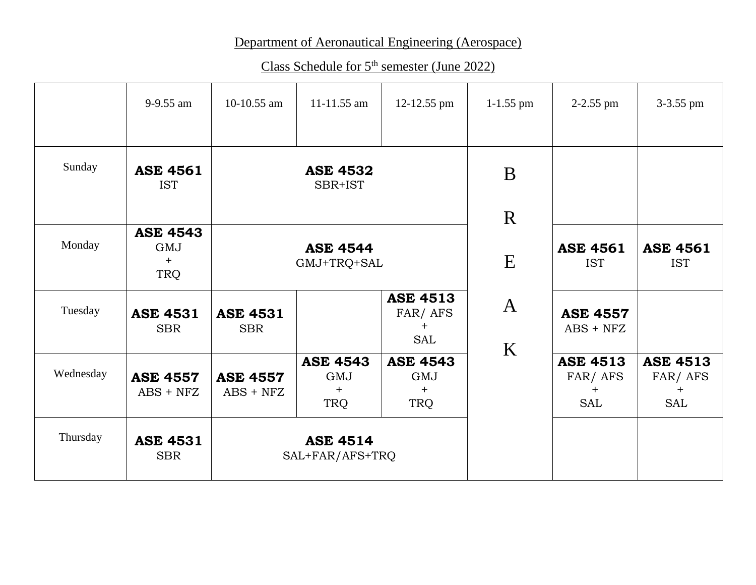## Department of Aeronautical Engineering (Aerospace)

Class Schedule for 5<sup>th</sup> semester (June 2022)

|           | 9-9.55 am                            | 10-10.55 am                    | $11 - 11.55$ am                      | 12-12.55 pm                                     | $1-1.55$ pm                   | $2-2.55$ pm                              | 3-3.55 pm                                |
|-----------|--------------------------------------|--------------------------------|--------------------------------------|-------------------------------------------------|-------------------------------|------------------------------------------|------------------------------------------|
| Sunday    | <b>ASE 4561</b><br><b>IST</b>        |                                | <b>ASE 4532</b><br>SBR+IST           |                                                 | B                             |                                          |                                          |
|           |                                      |                                |                                      |                                                 | $\mathbf R$                   |                                          |                                          |
| Monday    | <b>ASE 4543</b><br>GMJ<br>$+$<br>TRQ | <b>ASE 4544</b><br>GMJ+TRQ+SAL |                                      | E                                               | <b>ASE 4561</b><br><b>IST</b> | <b>ASE 4561</b><br><b>IST</b>            |                                          |
| Tuesday   | <b>ASE 4531</b><br><b>SBR</b>        | <b>ASE 4531</b><br><b>SBR</b>  |                                      | <b>ASE 4513</b><br>FAR/AFS<br>$+$<br><b>SAL</b> | $\mathbf{A}$<br>K             | <b>ASE 4557</b><br>$ABS + NFZ$           |                                          |
| Wednesday | <b>ASE 4557</b><br>$ABS + NFZ$       | <b>ASE 4557</b><br>$ABS + NFZ$ | <b>ASE 4543</b><br>GMJ<br>$+$<br>TRQ | <b>ASE 4543</b><br>GMJ<br>$+$<br>TRQ            |                               | <b>ASE 4513</b><br>FAR/AFS<br><b>SAL</b> | <b>ASE 4513</b><br>FAR/AFS<br>$+$<br>SAL |
| Thursday  | <b>ASE 4531</b><br><b>SBR</b>        |                                | <b>ASE 4514</b><br>SAL+FAR/AFS+TRQ   |                                                 |                               |                                          |                                          |